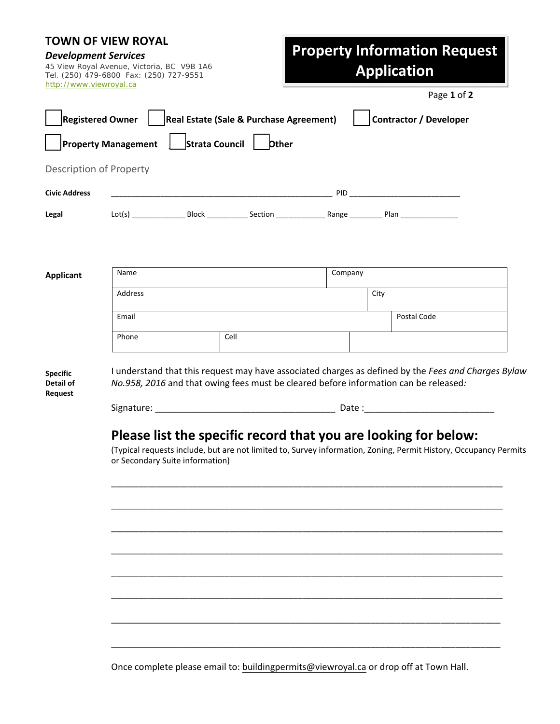## **TOWN OF VIEW ROYAL**

*Development Services* 45 View Royal Avenue, Victoria, BC V9B 1A6 Tel. (250) 479-6800 Fax: (250) 727-9551 http://www.viewroyal.ca

# **Property Information Request Application**

Page **1** of **2**

| <b>Registered Owner</b> |                            |                | Real Estate (Sale & Purchase Agreement) |  |                                                                                                                                                                                                                                | Contractor / Developer                                                                        |  |
|-------------------------|----------------------------|----------------|-----------------------------------------|--|--------------------------------------------------------------------------------------------------------------------------------------------------------------------------------------------------------------------------------|-----------------------------------------------------------------------------------------------|--|
|                         | <b>Property Management</b> | Strata Council | <b>Other</b>                            |  |                                                                                                                                                                                                                                |                                                                                               |  |
| Description of Property |                            |                |                                         |  |                                                                                                                                                                                                                                |                                                                                               |  |
| <b>Civic Address</b>    |                            |                |                                         |  | PID and the contract of the contract of the contract of the contract of the contract of the contract of the contract of the contract of the contract of the contract of the contract of the contract of the contract of the co |                                                                                               |  |
| Legal                   |                            |                |                                         |  |                                                                                                                                                                                                                                |                                                                                               |  |
|                         |                            |                |                                         |  |                                                                                                                                                                                                                                |                                                                                               |  |
|                         |                            |                |                                         |  |                                                                                                                                                                                                                                |                                                                                               |  |
| <b>Applicant</b>        | Name                       |                | Company                                 |  |                                                                                                                                                                                                                                |                                                                                               |  |
|                         | Address                    |                |                                         |  | City                                                                                                                                                                                                                           |                                                                                               |  |
|                         | Email                      |                |                                         |  | Postal Code                                                                                                                                                                                                                    |                                                                                               |  |
|                         | Phone                      | Cell           |                                         |  |                                                                                                                                                                                                                                |                                                                                               |  |
| <b>Specific</b>         |                            |                |                                         |  |                                                                                                                                                                                                                                | I understand that this request may have associated charges as defined by the Fees and Charges |  |

I understand that this request may have associated charges as defined by the *Fees and Charges Bylaw No.958, 2016* and that owing fees must be cleared before information can be released*:*

Signature: \_\_\_\_\_\_\_\_\_\_\_\_\_\_\_\_\_\_\_\_\_\_\_\_\_\_\_\_\_\_\_\_\_\_\_\_ Date :\_\_\_\_\_\_\_\_\_\_\_\_\_\_\_\_\_\_\_\_\_\_\_\_\_\_

**Detail of Request**

## **Please list the specific record that you are looking for below:**

(Typical requests include, but are not limited to, Survey information, Zoning, Permit History, Occupancy Permits or Secondary Suite information)

\_\_\_\_\_\_\_\_\_\_\_\_\_\_\_\_\_\_\_\_\_\_\_\_\_\_\_\_\_\_\_\_\_\_\_\_\_\_\_\_\_\_\_\_\_\_\_\_\_\_\_\_\_\_\_\_\_\_\_\_\_\_\_\_\_\_\_\_\_\_\_\_\_\_\_\_\_\_\_\_\_\_\_\_\_\_

\_\_\_\_\_\_\_\_\_\_\_\_\_\_\_\_\_\_\_\_\_\_\_\_\_\_\_\_\_\_\_\_\_\_\_\_\_\_\_\_\_\_\_\_\_\_\_\_\_\_\_\_\_\_\_\_\_\_\_\_\_\_\_\_\_\_\_\_\_\_\_\_\_\_\_\_\_\_\_\_\_\_\_\_\_\_

\_\_\_\_\_\_\_\_\_\_\_\_\_\_\_\_\_\_\_\_\_\_\_\_\_\_\_\_\_\_\_\_\_\_\_\_\_\_\_\_\_\_\_\_\_\_\_\_\_\_\_\_\_\_\_\_\_\_\_\_\_\_\_\_\_\_\_\_\_\_\_\_\_\_\_\_\_\_\_\_\_\_\_\_\_\_

\_\_\_\_\_\_\_\_\_\_\_\_\_\_\_\_\_\_\_\_\_\_\_\_\_\_\_\_\_\_\_\_\_\_\_\_\_\_\_\_\_\_\_\_\_\_\_\_\_\_\_\_\_\_\_\_\_\_\_\_\_\_\_\_\_\_\_\_\_\_\_\_\_\_\_\_\_\_\_\_\_\_\_\_\_\_

\_\_\_\_\_\_\_\_\_\_\_\_\_\_\_\_\_\_\_\_\_\_\_\_\_\_\_\_\_\_\_\_\_\_\_\_\_\_\_\_\_\_\_\_\_\_\_\_\_\_\_\_\_\_\_\_\_\_\_\_\_\_\_\_\_\_\_\_\_\_\_\_\_\_\_\_\_\_\_\_\_\_\_\_\_\_

\_\_\_\_\_\_\_\_\_\_\_\_\_\_\_\_\_\_\_\_\_\_\_\_\_\_\_\_\_\_\_\_\_\_\_\_\_\_\_\_\_\_\_\_\_\_\_\_\_\_\_\_\_\_\_\_\_\_\_\_\_\_\_\_\_\_\_\_\_\_\_\_\_\_\_\_\_\_\_\_\_\_\_\_\_\_

\_\_\_\_\_\_\_\_\_\_\_\_\_\_\_\_\_\_\_\_\_\_\_\_\_\_\_\_\_\_\_\_\_\_\_\_\_\_\_\_\_\_\_\_\_\_\_\_\_\_\_\_\_\_\_\_\_\_\_\_\_\_\_\_\_\_\_\_\_\_\_\_\_\_\_\_\_\_

\_\_\_\_\_\_\_\_\_\_\_\_\_\_\_\_\_\_\_\_\_\_\_\_\_\_\_\_\_\_\_\_\_\_\_\_\_\_\_\_\_\_\_\_\_\_\_\_\_\_\_\_\_\_\_\_\_\_\_\_\_\_\_\_\_\_\_\_\_\_\_\_\_\_\_\_\_\_

Once complete please email to: buildingpermits@viewroyal.ca or drop off at Town Hall.